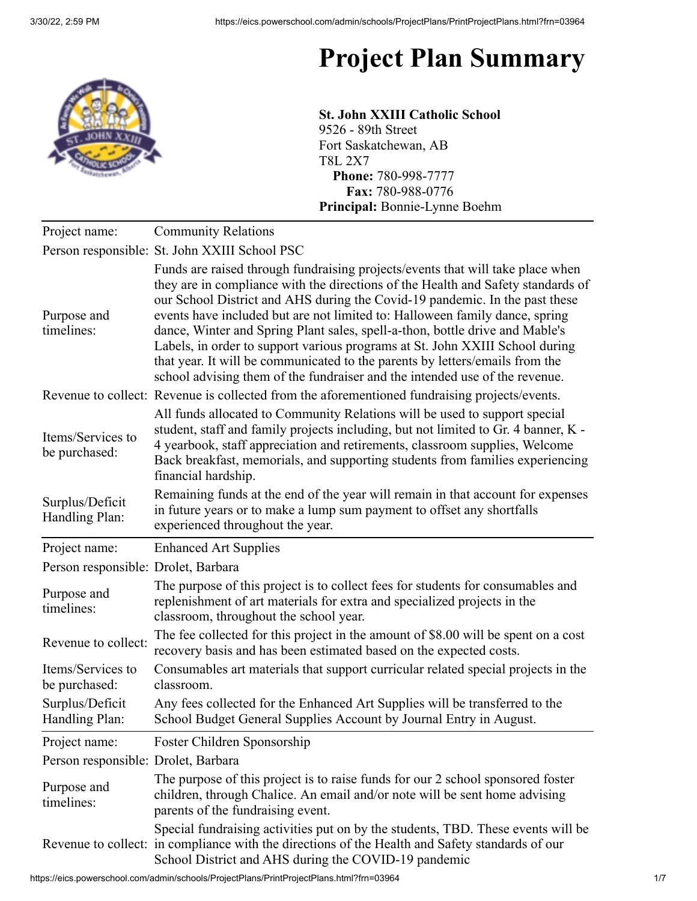## **Project Plan Summary**



**St. John XXIII Catholic School** 9526 - 89th Street Fort Saskatchewan, AB T8L 2X7 **Phone:** 780-998-7777 **Fax:** 780-988-0776 **Principal:** Bonnie-Lynne Boehm

| Project name:                       | <b>Community Relations</b>                                                                                                                                                                                                                                                                                                                                                                                                                                                                                                                                                                                                                                      |
|-------------------------------------|-----------------------------------------------------------------------------------------------------------------------------------------------------------------------------------------------------------------------------------------------------------------------------------------------------------------------------------------------------------------------------------------------------------------------------------------------------------------------------------------------------------------------------------------------------------------------------------------------------------------------------------------------------------------|
|                                     | Person responsible: St. John XXIII School PSC                                                                                                                                                                                                                                                                                                                                                                                                                                                                                                                                                                                                                   |
| Purpose and<br>timelines:           | Funds are raised through fundraising projects/events that will take place when<br>they are in compliance with the directions of the Health and Safety standards of<br>our School District and AHS during the Covid-19 pandemic. In the past these<br>events have included but are not limited to: Halloween family dance, spring<br>dance, Winter and Spring Plant sales, spell-a-thon, bottle drive and Mable's<br>Labels, in order to support various programs at St. John XXIII School during<br>that year. It will be communicated to the parents by letters/emails from the<br>school advising them of the fundraiser and the intended use of the revenue. |
|                                     | Revenue to collect: Revenue is collected from the aforementioned fundraising projects/events.                                                                                                                                                                                                                                                                                                                                                                                                                                                                                                                                                                   |
| Items/Services to<br>be purchased:  | All funds allocated to Community Relations will be used to support special<br>student, staff and family projects including, but not limited to Gr. 4 banner, K -<br>4 yearbook, staff appreciation and retirements, classroom supplies, Welcome<br>Back breakfast, memorials, and supporting students from families experiencing<br>financial hardship.                                                                                                                                                                                                                                                                                                         |
| Surplus/Deficit<br>Handling Plan:   | Remaining funds at the end of the year will remain in that account for expenses<br>in future years or to make a lump sum payment to offset any shortfalls<br>experienced throughout the year.                                                                                                                                                                                                                                                                                                                                                                                                                                                                   |
| Project name:                       | <b>Enhanced Art Supplies</b>                                                                                                                                                                                                                                                                                                                                                                                                                                                                                                                                                                                                                                    |
| Person responsible: Drolet, Barbara |                                                                                                                                                                                                                                                                                                                                                                                                                                                                                                                                                                                                                                                                 |
| Purpose and<br>timelines:           | The purpose of this project is to collect fees for students for consumables and<br>replenishment of art materials for extra and specialized projects in the<br>classroom, throughout the school year.                                                                                                                                                                                                                                                                                                                                                                                                                                                           |
| Revenue to collect:                 | The fee collected for this project in the amount of \$8.00 will be spent on a cost<br>recovery basis and has been estimated based on the expected costs.                                                                                                                                                                                                                                                                                                                                                                                                                                                                                                        |
| Items/Services to<br>be purchased:  | Consumables art materials that support curricular related special projects in the<br>classroom.                                                                                                                                                                                                                                                                                                                                                                                                                                                                                                                                                                 |
| Surplus/Deficit<br>Handling Plan:   | Any fees collected for the Enhanced Art Supplies will be transferred to the<br>School Budget General Supplies Account by Journal Entry in August.                                                                                                                                                                                                                                                                                                                                                                                                                                                                                                               |
| Project name:                       | Foster Children Sponsorship                                                                                                                                                                                                                                                                                                                                                                                                                                                                                                                                                                                                                                     |
| Person responsible: Drolet, Barbara |                                                                                                                                                                                                                                                                                                                                                                                                                                                                                                                                                                                                                                                                 |
| Purpose and<br>timelines:           | The purpose of this project is to raise funds for our 2 school sponsored foster<br>children, through Chalice. An email and/or note will be sent home advising<br>parents of the fundraising event.                                                                                                                                                                                                                                                                                                                                                                                                                                                              |
|                                     | Special fundraising activities put on by the students, TBD. These events will be<br>Revenue to collect: in compliance with the directions of the Health and Safety standards of our<br>School District and AHS during the COVID-19 pandemic                                                                                                                                                                                                                                                                                                                                                                                                                     |

https://eics.powerschool.com/admin/schools/ProjectPlans/PrintProjectPlans.html?frn=03964 1/7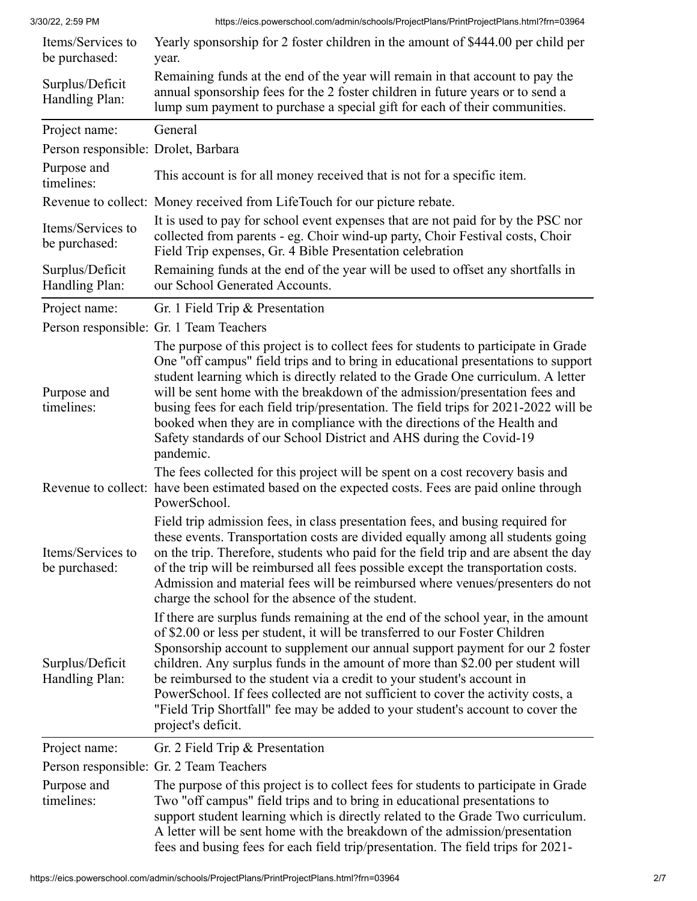| Items/Services to<br>be purchased:  | Yearly sponsorship for 2 foster children in the amount of \$444.00 per child per<br>year.                                                                                                                                                                                                                                                                                                                                                                                                                                                                                                                  |
|-------------------------------------|------------------------------------------------------------------------------------------------------------------------------------------------------------------------------------------------------------------------------------------------------------------------------------------------------------------------------------------------------------------------------------------------------------------------------------------------------------------------------------------------------------------------------------------------------------------------------------------------------------|
| Surplus/Deficit<br>Handling Plan:   | Remaining funds at the end of the year will remain in that account to pay the<br>annual sponsorship fees for the 2 foster children in future years or to send a<br>lump sum payment to purchase a special gift for each of their communities.                                                                                                                                                                                                                                                                                                                                                              |
| Project name:                       | General                                                                                                                                                                                                                                                                                                                                                                                                                                                                                                                                                                                                    |
| Person responsible: Drolet, Barbara |                                                                                                                                                                                                                                                                                                                                                                                                                                                                                                                                                                                                            |
| Purpose and<br>timelines:           | This account is for all money received that is not for a specific item.                                                                                                                                                                                                                                                                                                                                                                                                                                                                                                                                    |
|                                     | Revenue to collect: Money received from LifeTouch for our picture rebate.                                                                                                                                                                                                                                                                                                                                                                                                                                                                                                                                  |
| Items/Services to<br>be purchased:  | It is used to pay for school event expenses that are not paid for by the PSC nor<br>collected from parents - eg. Choir wind-up party, Choir Festival costs, Choir<br>Field Trip expenses, Gr. 4 Bible Presentation celebration                                                                                                                                                                                                                                                                                                                                                                             |
| Surplus/Deficit<br>Handling Plan:   | Remaining funds at the end of the year will be used to offset any shortfalls in<br>our School Generated Accounts.                                                                                                                                                                                                                                                                                                                                                                                                                                                                                          |
| Project name:                       | Gr. 1 Field Trip & Presentation                                                                                                                                                                                                                                                                                                                                                                                                                                                                                                                                                                            |
|                                     | Person responsible: Gr. 1 Team Teachers                                                                                                                                                                                                                                                                                                                                                                                                                                                                                                                                                                    |
| Purpose and<br>timelines:           | The purpose of this project is to collect fees for students to participate in Grade<br>One "off campus" field trips and to bring in educational presentations to support<br>student learning which is directly related to the Grade One curriculum. A letter<br>will be sent home with the breakdown of the admission/presentation fees and<br>busing fees for each field trip/presentation. The field trips for 2021-2022 will be<br>booked when they are in compliance with the directions of the Health and<br>Safety standards of our School District and AHS during the Covid-19<br>pandemic.         |
|                                     | The fees collected for this project will be spent on a cost recovery basis and<br>Revenue to collect: have been estimated based on the expected costs. Fees are paid online through<br>PowerSchool.                                                                                                                                                                                                                                                                                                                                                                                                        |
| Items/Services to<br>be purchased:  | Field trip admission fees, in class presentation fees, and busing required for<br>these events. Transportation costs are divided equally among all students going<br>on the trip. Therefore, students who paid for the field trip and are absent the day<br>of the trip will be reimbursed all fees possible except the transportation costs.<br>Admission and material fees will be reimbursed where venues/presenters do not<br>charge the school for the absence of the student.                                                                                                                        |
| Surplus/Deficit<br>Handling Plan:   | If there are surplus funds remaining at the end of the school year, in the amount<br>of \$2.00 or less per student, it will be transferred to our Foster Children<br>Sponsorship account to supplement our annual support payment for our 2 foster<br>children. Any surplus funds in the amount of more than \$2.00 per student will<br>be reimbursed to the student via a credit to your student's account in<br>PowerSchool. If fees collected are not sufficient to cover the activity costs, a<br>"Field Trip Shortfall" fee may be added to your student's account to cover the<br>project's deficit. |
| Project name:                       | Gr. 2 Field Trip & Presentation                                                                                                                                                                                                                                                                                                                                                                                                                                                                                                                                                                            |
|                                     | Person responsible: Gr. 2 Team Teachers                                                                                                                                                                                                                                                                                                                                                                                                                                                                                                                                                                    |
| Purpose and<br>timelines:           | The purpose of this project is to collect fees for students to participate in Grade<br>Two "off campus" field trips and to bring in educational presentations to<br>support student learning which is directly related to the Grade Two curriculum.<br>A letter will be sent home with the breakdown of the admission/presentation<br>fees and busing fees for each field trip/presentation. The field trips for 2021-                                                                                                                                                                                     |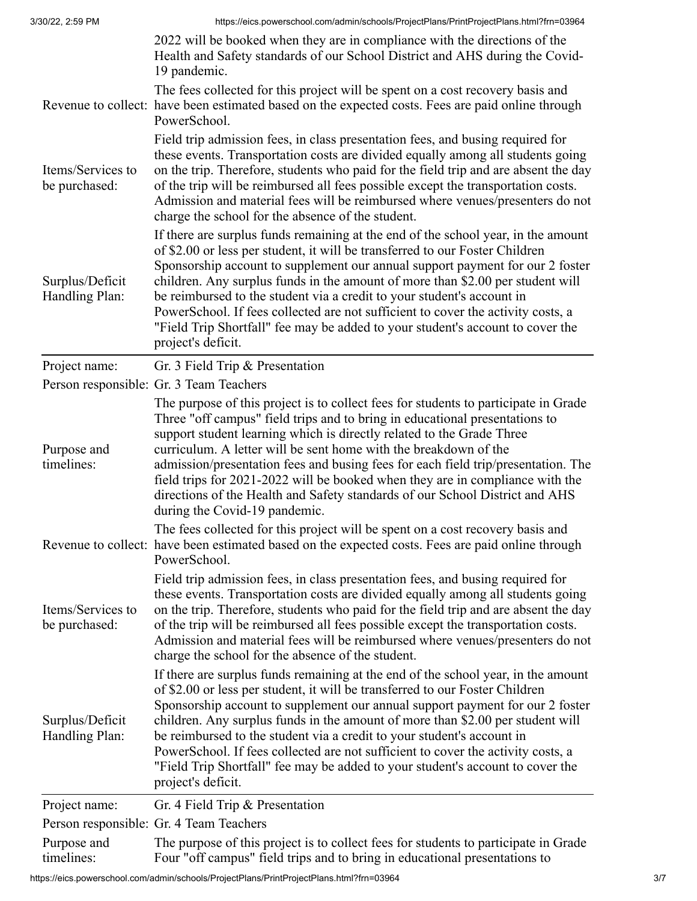|                                    | 2022 will be booked when they are in compliance with the directions of the<br>Health and Safety standards of our School District and AHS during the Covid-<br>19 pandemic.                                                                                                                                                                                                                                                                                                                                                                                                                                 |
|------------------------------------|------------------------------------------------------------------------------------------------------------------------------------------------------------------------------------------------------------------------------------------------------------------------------------------------------------------------------------------------------------------------------------------------------------------------------------------------------------------------------------------------------------------------------------------------------------------------------------------------------------|
|                                    | The fees collected for this project will be spent on a cost recovery basis and<br>Revenue to collect: have been estimated based on the expected costs. Fees are paid online through<br>PowerSchool.                                                                                                                                                                                                                                                                                                                                                                                                        |
| Items/Services to<br>be purchased: | Field trip admission fees, in class presentation fees, and busing required for<br>these events. Transportation costs are divided equally among all students going<br>on the trip. Therefore, students who paid for the field trip and are absent the day<br>of the trip will be reimbursed all fees possible except the transportation costs.<br>Admission and material fees will be reimbursed where venues/presenters do not<br>charge the school for the absence of the student.                                                                                                                        |
| Surplus/Deficit<br>Handling Plan:  | If there are surplus funds remaining at the end of the school year, in the amount<br>of \$2.00 or less per student, it will be transferred to our Foster Children<br>Sponsorship account to supplement our annual support payment for our 2 foster<br>children. Any surplus funds in the amount of more than \$2.00 per student will<br>be reimbursed to the student via a credit to your student's account in<br>PowerSchool. If fees collected are not sufficient to cover the activity costs, a<br>"Field Trip Shortfall" fee may be added to your student's account to cover the<br>project's deficit. |
| Project name:                      | Gr. 3 Field Trip & Presentation                                                                                                                                                                                                                                                                                                                                                                                                                                                                                                                                                                            |
|                                    | Person responsible: Gr. 3 Team Teachers                                                                                                                                                                                                                                                                                                                                                                                                                                                                                                                                                                    |
| Purpose and<br>timelines:          | The purpose of this project is to collect fees for students to participate in Grade<br>Three "off campus" field trips and to bring in educational presentations to<br>support student learning which is directly related to the Grade Three<br>curriculum. A letter will be sent home with the breakdown of the<br>admission/presentation fees and busing fees for each field trip/presentation. The<br>field trips for 2021-2022 will be booked when they are in compliance with the<br>directions of the Health and Safety standards of our School District and AHS<br>during the Covid-19 pandemic.     |
|                                    | The fees collected for this project will be spent on a cost recovery basis and<br>Revenue to collect: have been estimated based on the expected costs. Fees are paid online through<br>PowerSchool.                                                                                                                                                                                                                                                                                                                                                                                                        |
| Items/Services to<br>be purchased: | Field trip admission fees, in class presentation fees, and busing required for<br>these events. Transportation costs are divided equally among all students going<br>on the trip. Therefore, students who paid for the field trip and are absent the day<br>of the trip will be reimbursed all fees possible except the transportation costs.<br>Admission and material fees will be reimbursed where venues/presenters do not<br>charge the school for the absence of the student.                                                                                                                        |
| Surplus/Deficit<br>Handling Plan:  | If there are surplus funds remaining at the end of the school year, in the amount<br>of \$2.00 or less per student, it will be transferred to our Foster Children<br>Sponsorship account to supplement our annual support payment for our 2 foster<br>children. Any surplus funds in the amount of more than \$2.00 per student will<br>be reimbursed to the student via a credit to your student's account in<br>PowerSchool. If fees collected are not sufficient to cover the activity costs, a<br>"Field Trip Shortfall" fee may be added to your student's account to cover the<br>project's deficit. |
| Project name:                      | Gr. 4 Field Trip & Presentation                                                                                                                                                                                                                                                                                                                                                                                                                                                                                                                                                                            |
|                                    | Person responsible: Gr. 4 Team Teachers                                                                                                                                                                                                                                                                                                                                                                                                                                                                                                                                                                    |
| Purpose and<br>timelines:          | The purpose of this project is to collect fees for students to participate in Grade<br>Four "off campus" field trips and to bring in educational presentations to                                                                                                                                                                                                                                                                                                                                                                                                                                          |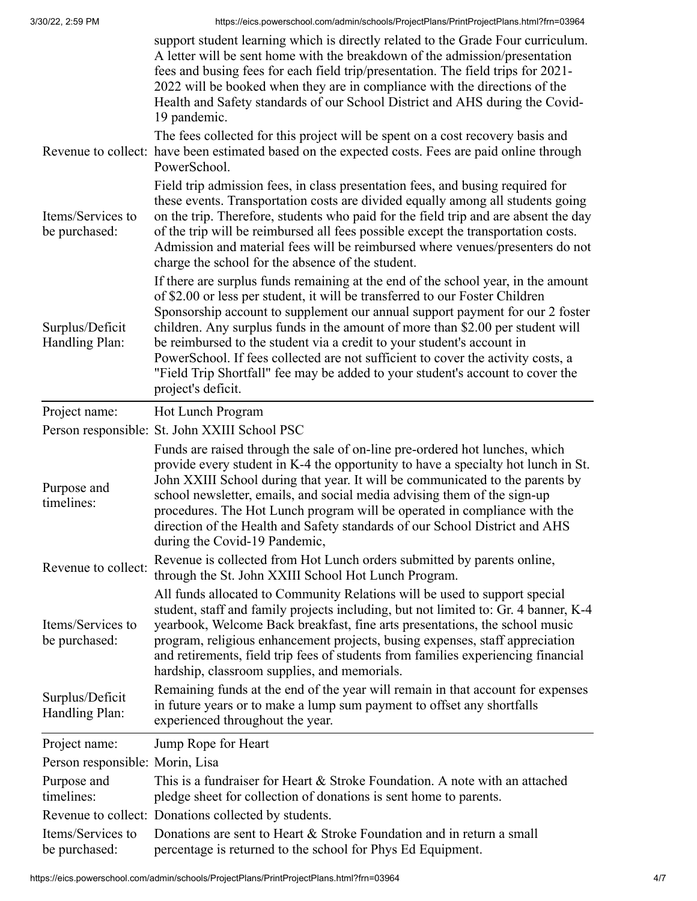|                                    | support student learning which is directly related to the Grade Four curriculum.<br>A letter will be sent home with the breakdown of the admission/presentation<br>fees and busing fees for each field trip/presentation. The field trips for 2021-<br>2022 will be booked when they are in compliance with the directions of the<br>Health and Safety standards of our School District and AHS during the Covid-<br>19 pandemic.                                                                                                                                                                          |
|------------------------------------|------------------------------------------------------------------------------------------------------------------------------------------------------------------------------------------------------------------------------------------------------------------------------------------------------------------------------------------------------------------------------------------------------------------------------------------------------------------------------------------------------------------------------------------------------------------------------------------------------------|
|                                    | The fees collected for this project will be spent on a cost recovery basis and<br>Revenue to collect: have been estimated based on the expected costs. Fees are paid online through<br>PowerSchool.                                                                                                                                                                                                                                                                                                                                                                                                        |
| Items/Services to<br>be purchased: | Field trip admission fees, in class presentation fees, and busing required for<br>these events. Transportation costs are divided equally among all students going<br>on the trip. Therefore, students who paid for the field trip and are absent the day<br>of the trip will be reimbursed all fees possible except the transportation costs.<br>Admission and material fees will be reimbursed where venues/presenters do not<br>charge the school for the absence of the student.                                                                                                                        |
| Surplus/Deficit<br>Handling Plan:  | If there are surplus funds remaining at the end of the school year, in the amount<br>of \$2.00 or less per student, it will be transferred to our Foster Children<br>Sponsorship account to supplement our annual support payment for our 2 foster<br>children. Any surplus funds in the amount of more than \$2.00 per student will<br>be reimbursed to the student via a credit to your student's account in<br>PowerSchool. If fees collected are not sufficient to cover the activity costs, a<br>"Field Trip Shortfall" fee may be added to your student's account to cover the<br>project's deficit. |
| Project name:                      | Hot Lunch Program                                                                                                                                                                                                                                                                                                                                                                                                                                                                                                                                                                                          |
|                                    | Person responsible: St. John XXIII School PSC                                                                                                                                                                                                                                                                                                                                                                                                                                                                                                                                                              |
| Purpose and<br>timelines:          | Funds are raised through the sale of on-line pre-ordered hot lunches, which<br>provide every student in K-4 the opportunity to have a specialty hot lunch in St.<br>John XXIII School during that year. It will be communicated to the parents by<br>school newsletter, emails, and social media advising them of the sign-up<br>procedures. The Hot Lunch program will be operated in compliance with the<br>direction of the Health and Safety standards of our School District and AHS<br>during the Covid-19 Pandemic,                                                                                 |
| Revenue to collect:                | Revenue is collected from Hot Lunch orders submitted by parents online,<br>through the St. John XXIII School Hot Lunch Program.                                                                                                                                                                                                                                                                                                                                                                                                                                                                            |
| Items/Services to<br>be purchased: | All funds allocated to Community Relations will be used to support special<br>student, staff and family projects including, but not limited to: Gr. 4 banner, K-4<br>yearbook, Welcome Back breakfast, fine arts presentations, the school music<br>program, religious enhancement projects, busing expenses, staff appreciation<br>and retirements, field trip fees of students from families experiencing financial<br>hardship, classroom supplies, and memorials.                                                                                                                                      |
| Surplus/Deficit<br>Handling Plan:  | Remaining funds at the end of the year will remain in that account for expenses<br>in future years or to make a lump sum payment to offset any shortfalls<br>experienced throughout the year.                                                                                                                                                                                                                                                                                                                                                                                                              |
| Project name:                      | Jump Rope for Heart                                                                                                                                                                                                                                                                                                                                                                                                                                                                                                                                                                                        |
| Person responsible: Morin, Lisa    |                                                                                                                                                                                                                                                                                                                                                                                                                                                                                                                                                                                                            |
| Purpose and<br>timelines:          | This is a fundraiser for Heart & Stroke Foundation. A note with an attached<br>pledge sheet for collection of donations is sent home to parents.                                                                                                                                                                                                                                                                                                                                                                                                                                                           |
|                                    | Revenue to collect: Donations collected by students.                                                                                                                                                                                                                                                                                                                                                                                                                                                                                                                                                       |
| Items/Services to<br>be purchased: | Donations are sent to Heart & Stroke Foundation and in return a small<br>percentage is returned to the school for Phys Ed Equipment.                                                                                                                                                                                                                                                                                                                                                                                                                                                                       |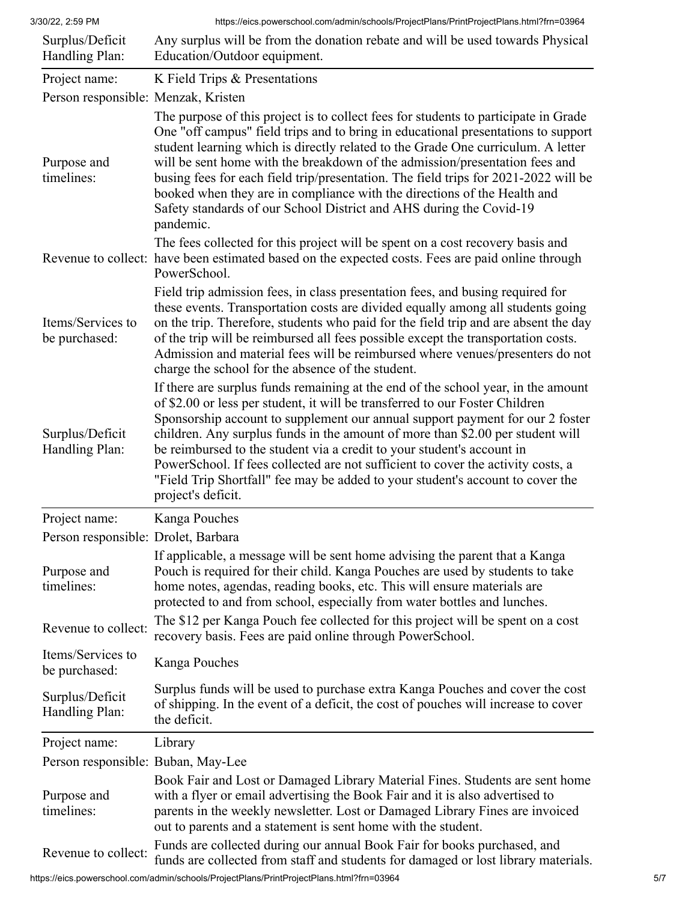| Surplus/Deficit<br>Handling Plan:   | Any surplus will be from the donation rebate and will be used towards Physical<br>Education/Outdoor equipment.                                                                                                                                                                                                                                                                                                                                                                                                                                                                                             |
|-------------------------------------|------------------------------------------------------------------------------------------------------------------------------------------------------------------------------------------------------------------------------------------------------------------------------------------------------------------------------------------------------------------------------------------------------------------------------------------------------------------------------------------------------------------------------------------------------------------------------------------------------------|
| Project name:                       | K Field Trips & Presentations                                                                                                                                                                                                                                                                                                                                                                                                                                                                                                                                                                              |
| Person responsible: Menzak, Kristen |                                                                                                                                                                                                                                                                                                                                                                                                                                                                                                                                                                                                            |
| Purpose and<br>timelines:           | The purpose of this project is to collect fees for students to participate in Grade<br>One "off campus" field trips and to bring in educational presentations to support<br>student learning which is directly related to the Grade One curriculum. A letter<br>will be sent home with the breakdown of the admission/presentation fees and<br>busing fees for each field trip/presentation. The field trips for 2021-2022 will be<br>booked when they are in compliance with the directions of the Health and<br>Safety standards of our School District and AHS during the Covid-19<br>pandemic.         |
|                                     | The fees collected for this project will be spent on a cost recovery basis and<br>Revenue to collect: have been estimated based on the expected costs. Fees are paid online through<br>PowerSchool.                                                                                                                                                                                                                                                                                                                                                                                                        |
| Items/Services to<br>be purchased:  | Field trip admission fees, in class presentation fees, and busing required for<br>these events. Transportation costs are divided equally among all students going<br>on the trip. Therefore, students who paid for the field trip and are absent the day<br>of the trip will be reimbursed all fees possible except the transportation costs.<br>Admission and material fees will be reimbursed where venues/presenters do not<br>charge the school for the absence of the student.                                                                                                                        |
| Surplus/Deficit<br>Handling Plan:   | If there are surplus funds remaining at the end of the school year, in the amount<br>of \$2.00 or less per student, it will be transferred to our Foster Children<br>Sponsorship account to supplement our annual support payment for our 2 foster<br>children. Any surplus funds in the amount of more than \$2.00 per student will<br>be reimbursed to the student via a credit to your student's account in<br>PowerSchool. If fees collected are not sufficient to cover the activity costs, a<br>"Field Trip Shortfall" fee may be added to your student's account to cover the<br>project's deficit. |
| Project name:                       | Kanga Pouches                                                                                                                                                                                                                                                                                                                                                                                                                                                                                                                                                                                              |
| Person responsible: Drolet, Barbara |                                                                                                                                                                                                                                                                                                                                                                                                                                                                                                                                                                                                            |
| Purpose and<br>timelines:           | If applicable, a message will be sent home advising the parent that a Kanga<br>Pouch is required for their child. Kanga Pouches are used by students to take<br>home notes, agendas, reading books, etc. This will ensure materials are<br>protected to and from school, especially from water bottles and lunches.                                                                                                                                                                                                                                                                                        |
| Revenue to collect:                 | The \$12 per Kanga Pouch fee collected for this project will be spent on a cost<br>recovery basis. Fees are paid online through PowerSchool.                                                                                                                                                                                                                                                                                                                                                                                                                                                               |
| Items/Services to<br>be purchased:  | Kanga Pouches                                                                                                                                                                                                                                                                                                                                                                                                                                                                                                                                                                                              |
| Surplus/Deficit<br>Handling Plan:   | Surplus funds will be used to purchase extra Kanga Pouches and cover the cost<br>of shipping. In the event of a deficit, the cost of pouches will increase to cover<br>the deficit.                                                                                                                                                                                                                                                                                                                                                                                                                        |
| Project name:                       | Library                                                                                                                                                                                                                                                                                                                                                                                                                                                                                                                                                                                                    |
| Person responsible: Buban, May-Lee  |                                                                                                                                                                                                                                                                                                                                                                                                                                                                                                                                                                                                            |
| Purpose and<br>timelines:           | Book Fair and Lost or Damaged Library Material Fines. Students are sent home<br>with a flyer or email advertising the Book Fair and it is also advertised to<br>parents in the weekly newsletter. Lost or Damaged Library Fines are invoiced<br>out to parents and a statement is sent home with the student.                                                                                                                                                                                                                                                                                              |
| Revenue to collect:                 | Funds are collected during our annual Book Fair for books purchased, and<br>funds are collected from staff and students for damaged or lost library materials.                                                                                                                                                                                                                                                                                                                                                                                                                                             |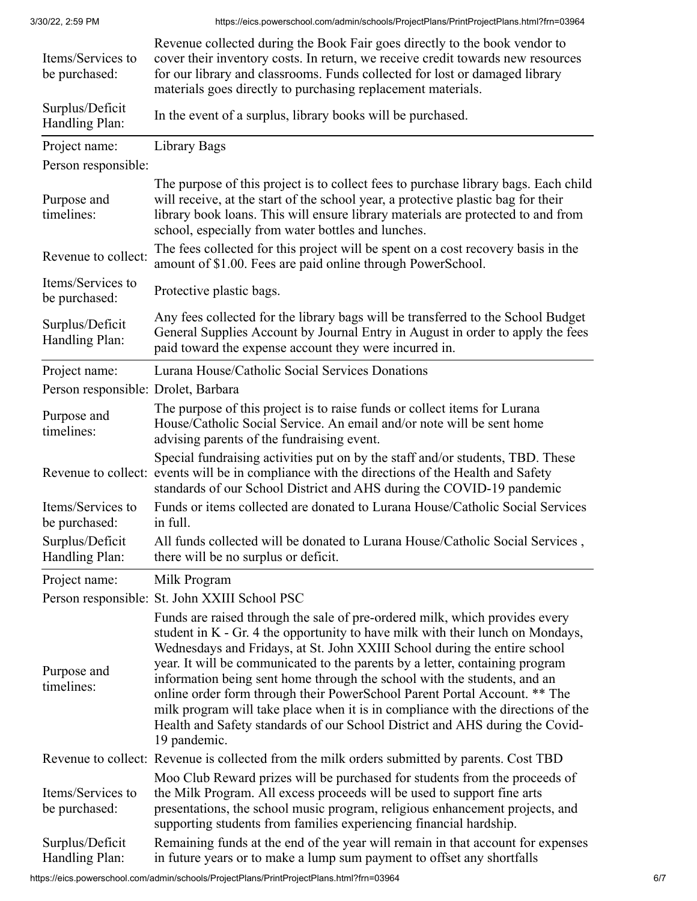| Items/Services to<br>be purchased:  | Revenue collected during the Book Fair goes directly to the book vendor to<br>cover their inventory costs. In return, we receive credit towards new resources<br>for our library and classrooms. Funds collected for lost or damaged library<br>materials goes directly to purchasing replacement materials.                                                                                                                                                                                                                                                                                                                                                            |
|-------------------------------------|-------------------------------------------------------------------------------------------------------------------------------------------------------------------------------------------------------------------------------------------------------------------------------------------------------------------------------------------------------------------------------------------------------------------------------------------------------------------------------------------------------------------------------------------------------------------------------------------------------------------------------------------------------------------------|
| Surplus/Deficit<br>Handling Plan:   | In the event of a surplus, library books will be purchased.                                                                                                                                                                                                                                                                                                                                                                                                                                                                                                                                                                                                             |
| Project name:                       | Library Bags                                                                                                                                                                                                                                                                                                                                                                                                                                                                                                                                                                                                                                                            |
| Person responsible:                 |                                                                                                                                                                                                                                                                                                                                                                                                                                                                                                                                                                                                                                                                         |
| Purpose and<br>timelines:           | The purpose of this project is to collect fees to purchase library bags. Each child<br>will receive, at the start of the school year, a protective plastic bag for their<br>library book loans. This will ensure library materials are protected to and from<br>school, especially from water bottles and lunches.                                                                                                                                                                                                                                                                                                                                                      |
| Revenue to collect:                 | The fees collected for this project will be spent on a cost recovery basis in the<br>amount of \$1.00. Fees are paid online through PowerSchool.                                                                                                                                                                                                                                                                                                                                                                                                                                                                                                                        |
| Items/Services to<br>be purchased:  | Protective plastic bags.                                                                                                                                                                                                                                                                                                                                                                                                                                                                                                                                                                                                                                                |
| Surplus/Deficit<br>Handling Plan:   | Any fees collected for the library bags will be transferred to the School Budget<br>General Supplies Account by Journal Entry in August in order to apply the fees<br>paid toward the expense account they were incurred in.                                                                                                                                                                                                                                                                                                                                                                                                                                            |
| Project name:                       | Lurana House/Catholic Social Services Donations                                                                                                                                                                                                                                                                                                                                                                                                                                                                                                                                                                                                                         |
| Person responsible: Drolet, Barbara |                                                                                                                                                                                                                                                                                                                                                                                                                                                                                                                                                                                                                                                                         |
| Purpose and<br>timelines:           | The purpose of this project is to raise funds or collect items for Lurana<br>House/Catholic Social Service. An email and/or note will be sent home<br>advising parents of the fundraising event.                                                                                                                                                                                                                                                                                                                                                                                                                                                                        |
|                                     | Special fundraising activities put on by the staff and/or students, TBD. These<br>Revenue to collect: events will be in compliance with the directions of the Health and Safety<br>standards of our School District and AHS during the COVID-19 pandemic                                                                                                                                                                                                                                                                                                                                                                                                                |
| Items/Services to<br>be purchased:  | Funds or items collected are donated to Lurana House/Catholic Social Services<br>in full.                                                                                                                                                                                                                                                                                                                                                                                                                                                                                                                                                                               |
| Surplus/Deficit<br>Handling Plan:   | All funds collected will be donated to Lurana House/Catholic Social Services,<br>there will be no surplus or deficit.                                                                                                                                                                                                                                                                                                                                                                                                                                                                                                                                                   |
| Project name:                       | Milk Program                                                                                                                                                                                                                                                                                                                                                                                                                                                                                                                                                                                                                                                            |
|                                     | Person responsible: St. John XXIII School PSC                                                                                                                                                                                                                                                                                                                                                                                                                                                                                                                                                                                                                           |
| Purpose and<br>timelines:           | Funds are raised through the sale of pre-ordered milk, which provides every<br>student in K - Gr. 4 the opportunity to have milk with their lunch on Mondays,<br>Wednesdays and Fridays, at St. John XXIII School during the entire school<br>year. It will be communicated to the parents by a letter, containing program<br>information being sent home through the school with the students, and an<br>online order form through their PowerSchool Parent Portal Account. ** The<br>milk program will take place when it is in compliance with the directions of the<br>Health and Safety standards of our School District and AHS during the Covid-<br>19 pandemic. |
|                                     | Revenue to collect: Revenue is collected from the milk orders submitted by parents. Cost TBD                                                                                                                                                                                                                                                                                                                                                                                                                                                                                                                                                                            |
| Items/Services to<br>be purchased:  | Moo Club Reward prizes will be purchased for students from the proceeds of<br>the Milk Program. All excess proceeds will be used to support fine arts<br>presentations, the school music program, religious enhancement projects, and<br>supporting students from families experiencing financial hardship.                                                                                                                                                                                                                                                                                                                                                             |
| Surplus/Deficit<br>Handling Plan:   | Remaining funds at the end of the year will remain in that account for expenses<br>in future years or to make a lump sum payment to offset any shortfalls                                                                                                                                                                                                                                                                                                                                                                                                                                                                                                               |